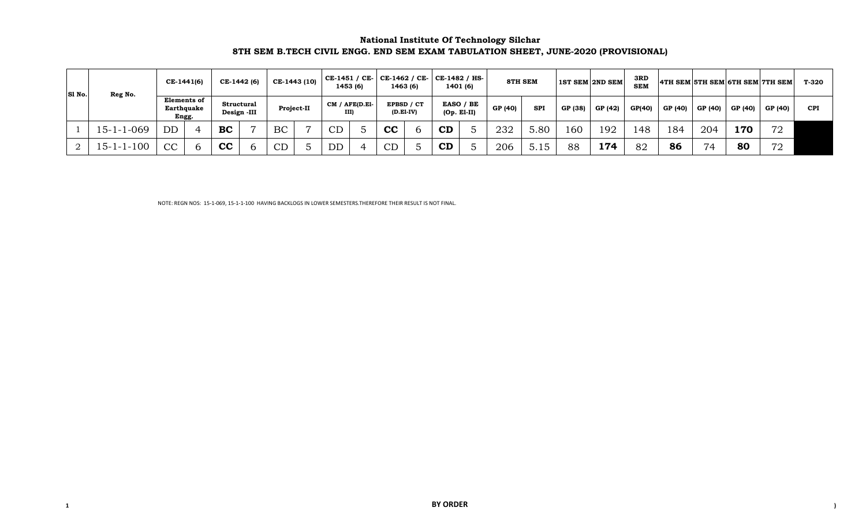#### **National Institute Of Technology Silchar 8TH SEM B.TECH CIVIL ENGG. END SEM EXAM TABULATION SHEET, JUNE-2020 (PROVISIONAL)**

| S1 No. | Reg No.            | CE-1441(6) |                           |            | CE-1442 (6)    |            | CE-1443 (10) | CE-1451 / CE-         | 1453 (6) | CE-1462 / CE-   CE-1482 / HS-  <br>1463 (6) | 1401 (6)      |           | <b>8TH SEM</b> |            |         | <b>1ST SEM 2ND SEM</b> | 3RD<br><b>SEM</b> |         |         |         | 4TH SEM 5TH SEM 6TH SEM 7TH SEM | T-320      |
|--------|--------------------|------------|---------------------------|------------|----------------|------------|--------------|-----------------------|----------|---------------------------------------------|---------------|-----------|----------------|------------|---------|------------------------|-------------------|---------|---------|---------|---------------------------------|------------|
|        |                    | Engg.      | Elements of<br>Earthquake | Structural | Design -III    | Project-II |              | CM / AFE(D.E1<br>III) |          | EPBSD / CT<br>$(D.EI-IV)$                   | $(Op. E1-II)$ | EASO / BE | GP (40)        | <b>SPI</b> | GP (38) | GP (42)                | GP(40)            | GP (40) | GP (40) | GP (40) | GP (40)                         | <b>CPI</b> |
|        | $15 - 1 - 1 - 069$ | <b>DD</b>  |                           | <b>BC</b>  | $\overline{ }$ | BC         |              | CD                    |          | cc                                          | CD            |           | 232            | 5.80       | 160     | 192                    | 148               | 184     | 204     | 170     | 72                              |            |
|        | $15 - 1 - 1 - 100$ | CC         |                           | cc         |                | $\cap$     |              | <b>DD</b>             |          | CD                                          | CD            |           | 206            | 5.15       | 88      | 174                    | 82                | 86      | 74      | 80      | 72                              |            |

NOTE: REGN NOS: 15-1-069, 15-1-1-100 HAVING BACKLOGS IN LOWER SEMESTERS.THEREFORE THEIR RESULT IS NOT FINAL.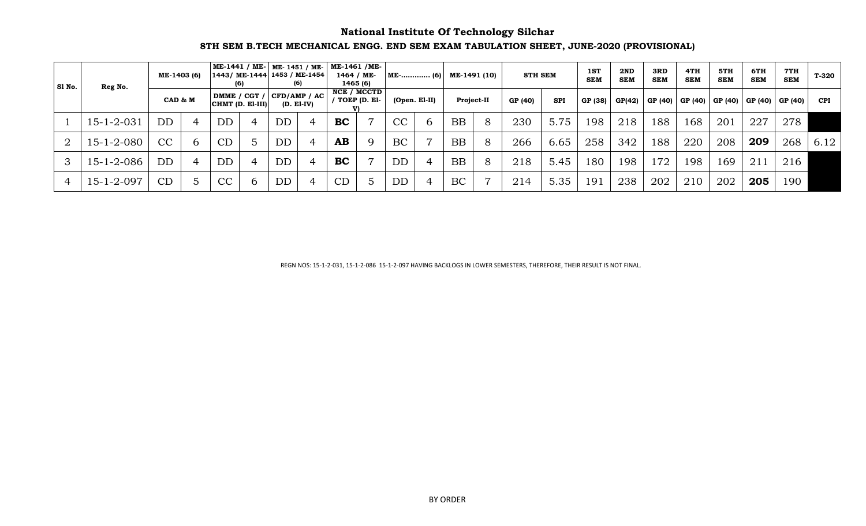## **National Institute Of Technology Silchar**

## **8TH SEM B.TECH MECHANICAL ENGG. END SEM EXAM TABULATION SHEET, JUNE-2020 (PROVISIONAL)**

| Sl No. | Reg No.            | ME-1403 (6) |                  | (6)          | ME-1441 / ME-   ME-1451 / ME-<br> 1443/ ME-1444 1453 / ME-1454 | (6)          | ME-1461 /ME-<br>1464 / ME-<br>1465 (6) |                 | $ME$ - (6) |               | ME-1491 (10)      |   | 8TH SEM |            | 1ST<br><b>SEM</b> | 2ND<br><b>SEM</b> | 3RD<br><b>SEM</b> | 4TH<br><b>SEM</b> | 5TH<br><b>SEM</b> | 6TH<br><b>SEM</b> | 7TH<br><b>SEM</b>           | T-320      |
|--------|--------------------|-------------|------------------|--------------|----------------------------------------------------------------|--------------|----------------------------------------|-----------------|------------|---------------|-------------------|---|---------|------------|-------------------|-------------------|-------------------|-------------------|-------------------|-------------------|-----------------------------|------------|
|        |                    | CAD & M     | CHMT (D. El-III) | DMME / CGT / | CFD/AMP / AC                                                   | $(D. E1-IV)$ | NCE / MCCTD<br>TOEP (D. El-            |                 |            | (Open. El-II) | <b>Project-II</b> |   | GP (40) | <b>SPI</b> | GP (38)           | GP(42)            | GP (40)   GP (40) |                   |                   |                   | GP (40)   GP (40)   GP (40) | <b>CPI</b> |
|        | $15 - 1 - 2 - 031$ | <b>DD</b>   | <b>DD</b>        |              | <b>DD</b>                                                      |              | <b>BC</b>                              | $\overline{7}$  | CC         | 6             | <b>BB</b>         | 8 | 230     | 5.75       | 198               | 218               | 188               | 168               | 201               | 227               | 278                         |            |
|        | $15 - 1 - 2 - 080$ | CC          | CD               |              | DD                                                             |              | AB                                     | 9               | BC         |               | <b>BB</b>         | 8 | 266     | 6.65       | 258               | 342               | 188               | 220               | 208               | 209               | 268                         | 6.12       |
|        | $15 - 1 - 2 - 086$ | <b>DD</b>   | <b>DD</b>        |              | <b>DD</b>                                                      |              | <b>BC</b>                              | $\overline{7}$  | DD         |               | <b>BB</b>         | 8 | 218     | 5.45       | 180               | 198               | .72               | 198               | 169               | 211               | 216                         |            |
|        | $15 - 1 - 2 - 097$ | CD          | CC               | <sub>b</sub> | DD                                                             |              | CL                                     | $5\overline{)}$ | DD         |               | BC                |   | 214     | 5.35       | 191               | 238               | 202               | 210               | 202               | 205               | 190                         |            |

REGN NOS: 15-1-2-031, 15-1-2-086 15-1-2-097 HAVING BACKLOGS IN LOWER SEMESTERS, THEREFORE, THEIR RESULT IS NOT FINAL.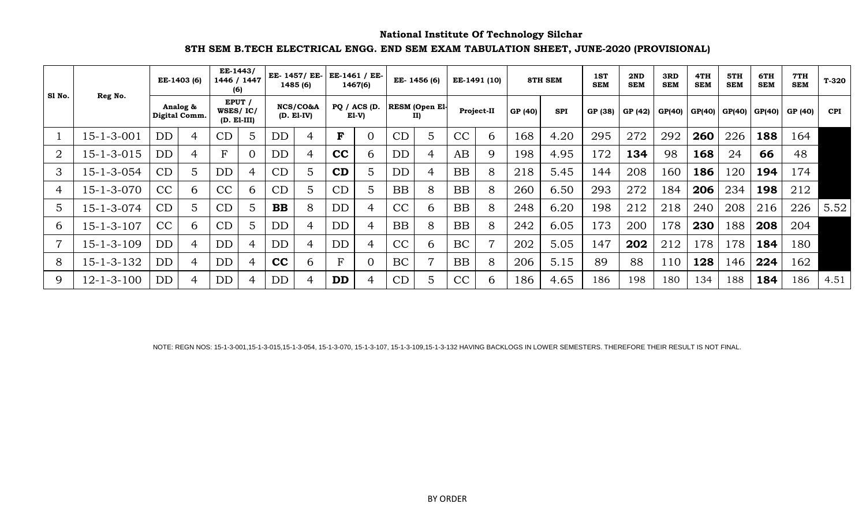## **National Institute Of Technology Silchar**

## **8TH SEM B.TECH ELECTRICAL ENGG. END SEM EXAM TABULATION SHEET, JUNE-2020 (PROVISIONAL)**

| Sl No.         |                    |           | EE-1403 (6)               | EE-1443/<br>(6)                     | 1446 / 1447 |           | EE- 1457/ EE-<br>1485 (6) |             | EE-1461 / EE-<br>1467(6) |           | EE- 1456 (6)                 |           | EE-1491 (10)   |         | <b>8TH SEM</b> | 1ST<br><b>SEM</b> | 2ND<br><b>SEM</b> | 3RD<br><b>SEM</b> | 4TH<br><b>SEM</b> | 5TH<br><b>SEM</b> | 6TH<br><b>SEM</b> | 7TH<br><b>SEM</b> | $T-320$    |
|----------------|--------------------|-----------|---------------------------|-------------------------------------|-------------|-----------|---------------------------|-------------|--------------------------|-----------|------------------------------|-----------|----------------|---------|----------------|-------------------|-------------------|-------------------|-------------------|-------------------|-------------------|-------------------|------------|
|                | Reg No.            |           | Analog &<br>Digital Comm. | EPUT /<br>WSES/IC/<br>$(D. E1-III)$ |             |           | NCS/CO&A<br>$(D. E1-IV)$  |             | PQ / ACS (D.<br>El-V)    |           | <b>RESM</b> (Open El-<br>II) |           | Project-II     | GP (40) | <b>SPI</b>     | GP (38)           | GP (42)           | GP(40)            | GP(40)            | GP(40)   GP(40)   |                   | GP (40)           | <b>CPI</b> |
|                | $15 - 1 - 3 - 001$ | <b>DD</b> | 4                         | CD                                  | 5           | DD        |                           | F           | $\overline{0}$           | CD        | 5                            | CC        | 6              | 168     | 4.20           | 295               | 272               | 292               | 260               | 226               | 188               | 164               |            |
| $\overline{2}$ | 15-1-3-015         | DD        | 4                         | F                                   | $\Omega$    | DD        | 4                         | cc          | 6                        | DD        | 4                            | AB        | 9              | 198     | 4.95           | 172               | 134               | 98                | 168               | 24                | 66                | 48                |            |
| 3              | 15-1-3-054         | CD        | $\overline{5}$            | DD                                  | 4           | CD        |                           | CD          | 5                        | DD        | 4                            | <b>BB</b> | 8              | 218     | 5.45           | 144               | 208               | 160               | 186               | 120               | 194               | 174               |            |
|                | 15-1-3-070         | CC        | 6                         | CC                                  | 6           | CD        |                           | CD          | 5                        | <b>BB</b> | 8                            | <b>BB</b> | 8              | 260     | 6.50           | 293               | 272               | 184               | 206               | 234               | 198               | 212               |            |
| 5              | 15-1-3-074         | CD        | 5                         | CD                                  | 5           | <b>BB</b> | 8                         | <b>DD</b>   | $\overline{4}$           | CC        | 6                            | <b>BB</b> | 8              | 248     | 6.20           | 198               | 212               | 218               | 240               | 208               | 216               | 226               | 5.52       |
| 6              | $15 - 1 - 3 - 107$ | CC        | 6                         | CD                                  | 5           | DD        | 4                         | <b>DD</b>   | $\overline{4}$           | <b>BB</b> | 8                            | <b>BB</b> | 8              | 242     | 6.05           | 173               | 200               | 178               | 230               | 188               | 208               | 204               |            |
|                | $15 - 1 - 3 - 109$ | DD        | 4                         | <b>DD</b>                           | 4           | DD        | 4                         | <b>DD</b>   | $\overline{4}$           | CC        | 6                            | BC        | $\overline{ }$ | 202     | 5.05           | 147               | 202               | 212               | 178               | 178               | 184               | 180               |            |
| 8              | 15-1-3-132         | DD        | 4                         | <b>DD</b>                           | 4           | cc        | 6                         | $\mathbf F$ | $\overline{0}$           | BC        | 7                            | <b>BB</b> | 8              | 206     | 5.15           | 89                | 88                | 110               | 128               | 146               | 224               | 162               |            |
| 9              | $12 - 1 - 3 - 100$ | DD        | 4                         | DD                                  | 4           | DD        |                           | <b>DD</b>   | 4                        | CD        | 5                            | CC        | $\mathfrak b$  | 186     | 4.65           | 186               | 198               | 180               | 134               | 188               | 184               | 186               | 4.51       |

NOTE: REGN NOS: 15-1-3-001,15-1-3-015,15-1-3-054, 15-1-3-070, 15-1-3-107, 15-1-3-109,15-1-3-132 HAVING BACKLOGS IN LOWER SEMESTERS. THEREFORE THEIR RESULT IS NOT FINAL.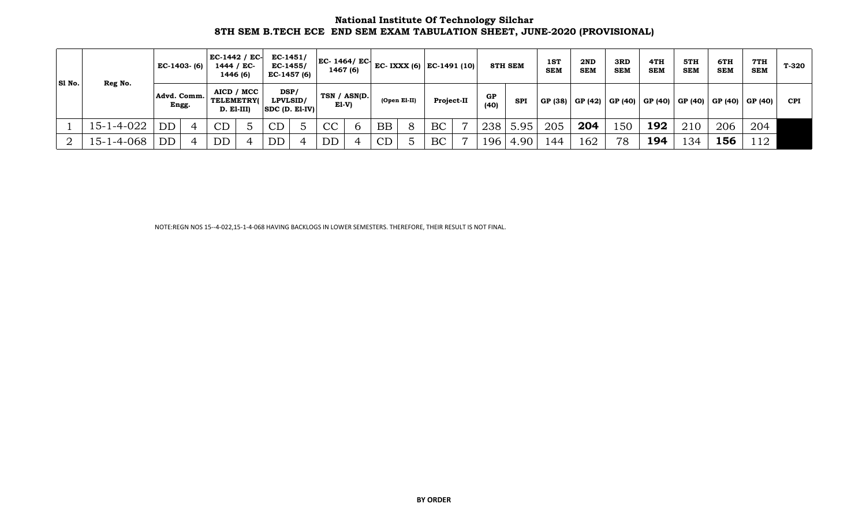#### **National Institute Of Technology Silchar 8TH SEM B.TECH ECE END SEM EXAM TABULATION SHEET, JUNE-2020 (PROVISIONAL)**

| SI No. |            | $EC-1403- (6)$           |   | $EC-1442 / EC-$<br>1444 / EC-<br>1446 (6) |            | $EC-1451/$<br>EC-1455/<br>EC-1457 (6) | $EC-1464/EC-$<br>1467 (6) |             |           |              | EC- IXXX (6)   EC-1491 (10) $\vert$ |                |            | 8TH SEM    | 1ST<br><b>SEM</b> | 2ND<br><b>SEM</b> | 3RD<br><b>SEM</b> | 4TH<br><b>SEM</b>                               | 5TH<br><b>SEM</b> | 6TH<br><b>SEM</b> | 7TH<br><b>SEM</b> | T-320      |
|--------|------------|--------------------------|---|-------------------------------------------|------------|---------------------------------------|---------------------------|-------------|-----------|--------------|-------------------------------------|----------------|------------|------------|-------------------|-------------------|-------------------|-------------------------------------------------|-------------------|-------------------|-------------------|------------|
|        | Reg No.    | Advd. Comm.<br>Engg.     |   | <b>TELEMETRY</b><br>D. El-III)            | AICD / MCC | DSP/<br>LPVLSID/<br>$ SDC(D, E1-IV) $ | TSN / ASN(D.<br>EI-V)     |             |           | (Open El-II) | Project-II                          |                | GP<br>(40) | <b>SPI</b> |                   |                   |                   | GP (38)   GP (42)   GP (40)   GP (40)   GP (40) |                   | GP (40)           | GP (40)           | <b>CPI</b> |
|        | 15-1-4-022 | $\overline{\mathrm{DD}}$ |   | CD                                        |            | CD                                    | CC                        | $\mathbf b$ | <b>BB</b> | 8            | BC                                  | $\overline{ }$ | 238        | 5.95       | 205               | 204               | 150               | 192                                             | 210               | 206               | 204               |            |
|        | 15-1-4-068 | DD                       | 4 | DD                                        | 4          | DD                                    | <b>DD</b>                 |             | CD        |              | BC                                  |                | 196        | 4.90       | 144               | 162               | 78                | 194                                             | 134               | 156               | 112               |            |

NOTE:REGN NOS 15--4-022,15-1-4-068 HAVING BACKLOGS IN LOWER SEMESTERS. THEREFORE, THEIR RESULT IS NOT FINAL.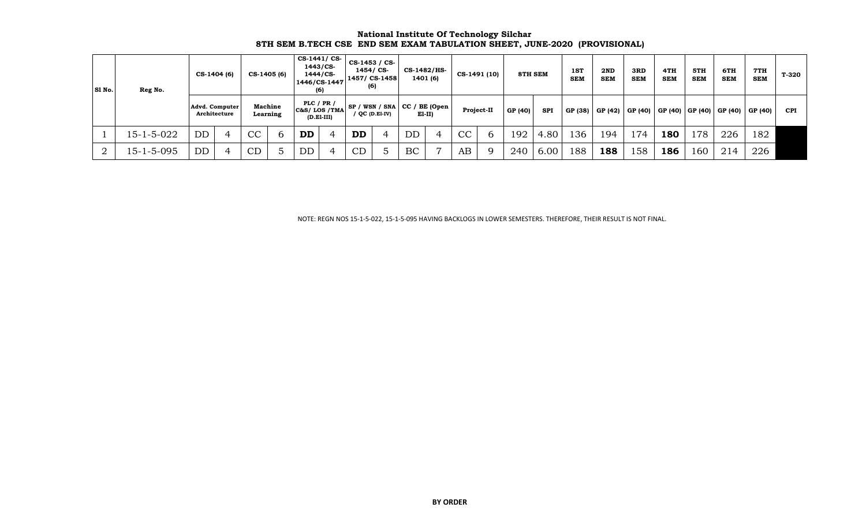| <b>National Institute Of Technology Silchar</b>                           |  |
|---------------------------------------------------------------------------|--|
| 8TH SEM B.TECH CSE END SEM EXAM TABULATION SHEET, JUNE-2020 (PROVISIONAL) |  |

| SI No. | Reg No.    | $CS-1404(6)$                   |         | CS-1405 (6) | CS-1441/CS-<br>1446/CS-1447   | 1443/CS-<br>1444/CS-<br>(6) | $CS-1453 / CS$<br>1454/ CS-<br>1457/ CS-1458<br>(6) |                | CS-1482/HS-<br>1401 (6)                    |                |    | CS-1491 (10) | 8TH SEM |            | 1ST<br><b>SEM</b> | 2ND<br><b>SEM</b> | 3RD<br><b>SEM</b> | 4TH<br><b>SEM</b>           | 5TH<br><b>SEM</b> | 6TH<br><b>SEM</b> | 7TH<br><b>SEM</b> | T-320      |
|--------|------------|--------------------------------|---------|-------------|-------------------------------|-----------------------------|-----------------------------------------------------|----------------|--------------------------------------------|----------------|----|--------------|---------|------------|-------------------|-------------------|-------------------|-----------------------------|-------------------|-------------------|-------------------|------------|
|        |            | Advd. Computer<br>Architecture | Machine | Learning    | PLC $/$ PR $/$<br>C&S/LOS/TMA | $(D.E1-III)$                |                                                     | / QC (D.E1-IV) | $SP / WSN / SNA$ CC / BE (Open<br>$E1-II)$ |                |    | Project-II   | GP (40) | <b>SPI</b> | GP (38)           | GP (42) GP (40)   |                   | GP (40)   GP (40)   GP (40) |                   |                   | GP(40)            | <b>CPI</b> |
|        | 15-1-5-022 | DD                             | CC      |             | <b>DD</b>                     |                             | <b>DD</b>                                           |                | DD                                         | 4              | CC |              | 192     | 4.80       | 136               | 194               | 174               | 180                         | 178               | 226               | 182               |            |
|        | 15-1-5-095 | DD                             | CD      |             | DD                            |                             | CD                                                  |                | BC                                         | $\overline{ }$ | AB |              | 240     | 6.00       | 188               | 188               | 58                | 186                         | 160               | 214               | 226               |            |

NOTE: REGN NOS 15-1-5-022, 15-1-5-095 HAVING BACKLOGS IN LOWER SEMESTERS. THEREFORE, THEIR RESULT IS NOT FINAL.